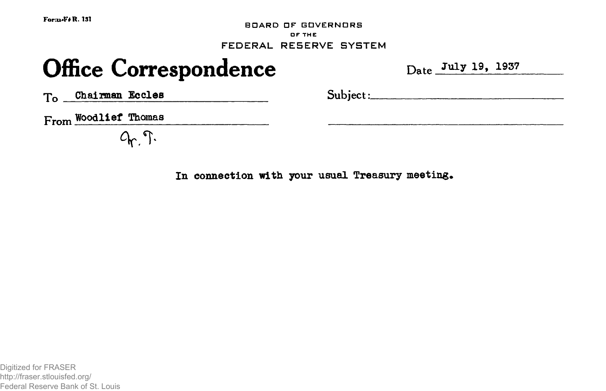**ForGd«F\* R. 131**

**BOARD DF GOVERNORS OF THE** FEDERAL RE5ERVE SYSTEM

# **Office Correspondence** Date Date July 19, 1937

 $T_o$  Chairman Eccles Subject:

*From Woodlief Thomas* 

 $Q_{r}$ .

**In connection with your usual Treasury meeting.**

Digitized for FRASER http://fraser.stlouisfed.org/ Federal Reserve Bank of St. Louis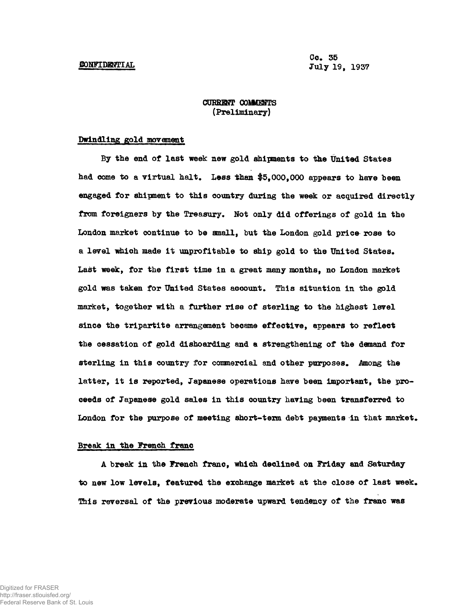**Cc\* 35 July 19<sup>f</sup>**

# **CURRENT COMMENTS (Preliminary)**

# **Dwindling gold movement**

**By the end of last week new gold shipments to the United States** had come to a virtual halt. Less than \$5,000,000 appears to have been **engaged for shipment to this country during the week or acquired directly** from foreigners by the Treasury. Not only did offerings of gold in the **London market continue to be small, but the London gold price^ rose to** a level which made it unprofitable to ship gold to the United States. **Last week, for the first time in a great many months, no London market gold was taken for United States account\* This situation in the gold market, together with a further rise of sterling to the highest level since the tripartite arrangement became effective, appears to reflect the cessation of gold dishoarding and a strengthening of the demand for sterling in this country for canmercial and other purposes\* Among the latter, it is reported, Japanese operations have been important, the proceeds of Japanese gold sales in this country having been transferred to** London for the purpose of meeting short-term debt payments in that market.

# **Break in the Trench franc**

**A break in the French franc, which declined on Friday and Saturday** to new low levels, featured the exchange market at the close of last week. **This reversal of the previous moderate upward tendency of the franc was**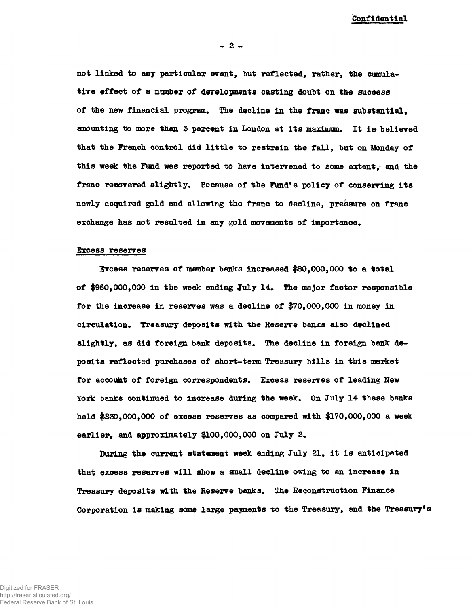**Confidential**

**- 2 -**

**not linked to any particular event, but reflected, rather, the cumulative effect of a number of developments casting doubt on the success of the new financial program. The decline in the franc was substantial, amounting to more than 3 percent in London at its maximum. It is believed that the French control did little to restrain the fall, but on Monday of this week the Fund was reported to have intervened to some extent, and the** franc recovered slightly. Because of the Fund's policy of conserving its **newly acquired gold and allowing the franc to decline, pressure on franc exchange has not resulted in any gold movements of importance.**

# **Excess reserves**

**Excess reserves of member banks increased #80,000,000 to a total of \$960,000,000 in the week ending July 14. The major factor responsible for the increase in reserves was a decline of \$70,000,000 in money in circulation. Treasury deposits with the Reserve banks also declined slightly, as did foreign bank deposits. The decline in foreign bank deposits reflected purchases of short-texm Treasury bills in this market for account of foreign correspondents. Excess reserves of leading New York banks continued to increase during the week. On July 14 these banks held \$230,000,000 of excess reserves as compared with \$170,000,000 a week earlier, and approximately \$100,000,000 on July 2.**

**During the current statement week ending July 21, it is anticipated that excess reserves will show a small decline owing to an increase in Treasury deposits with the Reserve banks. The Reconstruction Finance Corporation is making some large payments to the Treasury, and the Treasury's**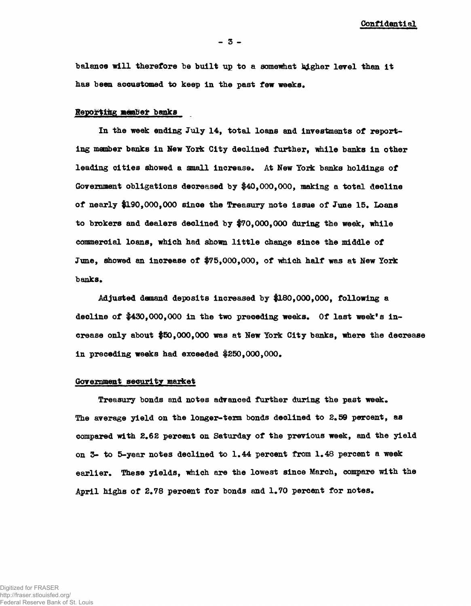**Confidential**

**balance will therefore be built up to a somewhat l^gher level than it has been accustomed to keep in the past few weeks.**

# **Reporting member banks**

**In the week ending July 14, total loans and investments of reporting member banks in New York City declined further, while banks in other** leading cities showed a small increase. At New York banks holdings of **Government obligations decreased by \$40,000,000, making a total decline of nearly #190,000,000 since the Treasury note issue of June 15. Loans to brokers and dealers declined by \$70,000,000 during the week, while commercial loans, which had shown little change since the middle of June, showed an increase of \$75,000,000, of which half was at New York** banks.

**Adjusted demand deposits increased by \$180,000,000, following a decline of \$430,000,000 in the two preceding weeks. Of last week's increase only about \$50,000,000 was at New York City banks, where the decrease in preceding weeks had exceeded \$250,000,000\***

#### **Government security market**

**Treasury bonds and notes advanced further during the past week. The average yield on the longer-term bonds declined to 2.59 percent, as compared with 2.62 percent on Saturday of the previous week, and the yield on 3- to 5-year notes declined to 1,44 percent from 1.48 percent a week earlier. These yields, which are the lowest since March, compare with the** April highs of 2.78 percent for bonds and 1.70 percent for notes.

Digitized for FRASER http://fraser.stlouisfed.org/ Federal Reserve Bank of St. Louis